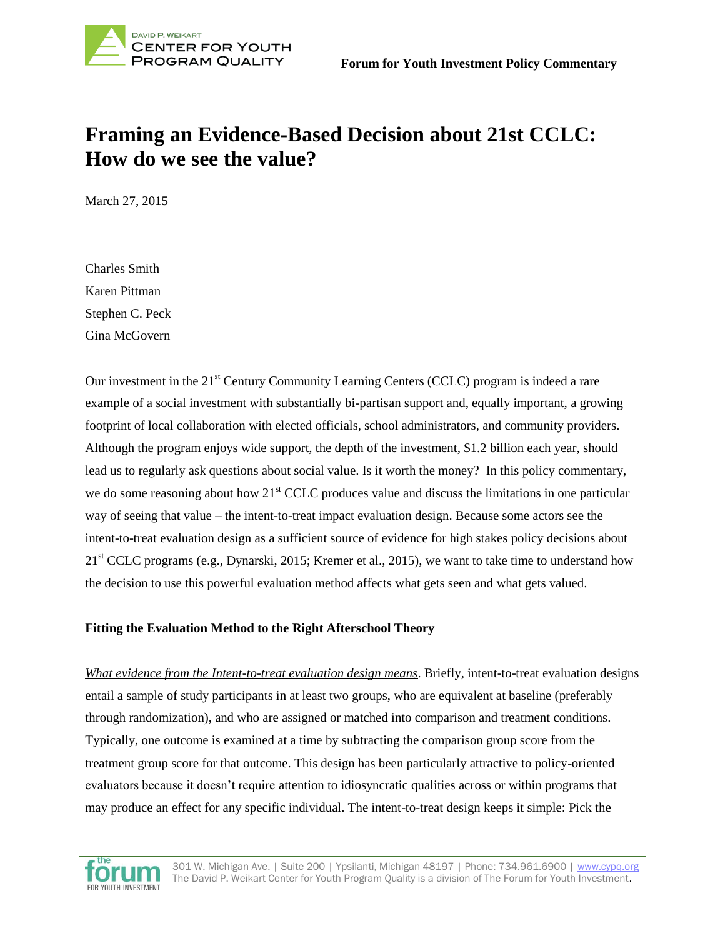

# **Framing an Evidence-Based Decision about 21st CCLC: How do we see the value?**

March 27, 2015

Charles Smith Karen Pittman Stephen C. Peck Gina McGovern

Our investment in the 21<sup>st</sup> Century Community Learning Centers (CCLC) program is indeed a rare example of a social investment with substantially bi-partisan support and, equally important, a growing footprint of local collaboration with elected officials, school administrators, and community providers. Although the program enjoys wide support, the depth of the investment, \$1.2 billion each year, should lead us to regularly ask questions about social value. Is it worth the money? In this policy commentary, we do some reasoning about how 21<sup>st</sup> CCLC produces value and discuss the limitations in one particular way of seeing that value – the intent-to-treat impact evaluation design. Because some actors see the intent-to-treat evaluation design as a sufficient source of evidence for high stakes policy decisions about  $21<sup>st</sup>$  CCLC programs (e.g., Dynarski, 2015; Kremer et al., 2015), we want to take time to understand how the decision to use this powerful evaluation method affects what gets seen and what gets valued.

## **Fitting the Evaluation Method to the Right Afterschool Theory**

*What evidence from the Intent-to-treat evaluation design means*. Briefly, intent-to-treat evaluation designs entail a sample of study participants in at least two groups, who are equivalent at baseline (preferably through randomization), and who are assigned or matched into comparison and treatment conditions. Typically, one outcome is examined at a time by subtracting the comparison group score from the treatment group score for that outcome. This design has been particularly attractive to policy-oriented evaluators because it doesn't require attention to idiosyncratic qualities across or within programs that may produce an effect for any specific individual. The intent-to-treat design keeps it simple: Pick the

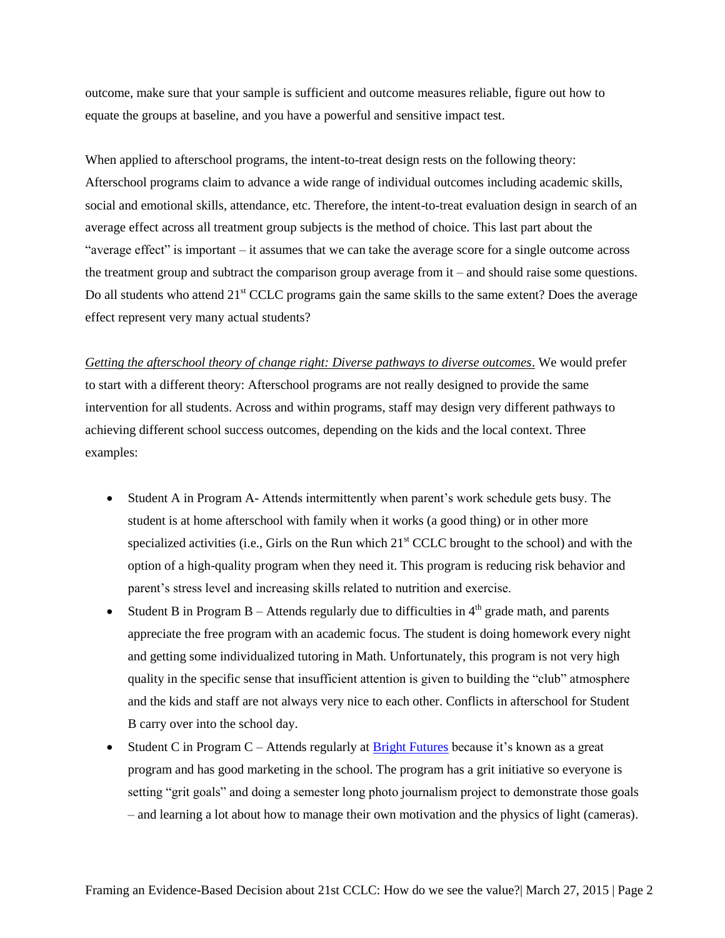outcome, make sure that your sample is sufficient and outcome measures reliable, figure out how to equate the groups at baseline, and you have a powerful and sensitive impact test.

When applied to afterschool programs, the intent-to-treat design rests on the following theory: Afterschool programs claim to advance a wide range of individual outcomes including academic skills, social and emotional skills, attendance, etc. Therefore, the intent-to-treat evaluation design in search of an average effect across all treatment group subjects is the method of choice. This last part about the "average effect" is important – it assumes that we can take the average score for a single outcome across the treatment group and subtract the comparison group average from it – and should raise some questions. Do all students who attend 21<sup>st</sup> CCLC programs gain the same skills to the same extent? Does the average effect represent very many actual students?

*Getting the afterschool theory of change right: Diverse pathways to diverse outcomes*. We would prefer to start with a different theory: Afterschool programs are not really designed to provide the same intervention for all students. Across and within programs, staff may design very different pathways to achieving different school success outcomes, depending on the kids and the local context. Three examples:

- Student A in Program A- Attends intermittently when parent's work schedule gets busy. The student is at home afterschool with family when it works (a good thing) or in other more specialized activities (i.e., Girls on the Run which  $21<sup>st</sup> CCLC$  brought to the school) and with the option of a high-quality program when they need it. This program is reducing risk behavior and parent's stress level and increasing skills related to nutrition and exercise.
- Student B in Program B Attends regularly due to difficulties in  $4<sup>th</sup>$  grade math, and parents appreciate the free program with an academic focus. The student is doing homework every night and getting some individualized tutoring in Math. Unfortunately, this program is not very high quality in the specific sense that insufficient attention is given to building the "club" atmosphere and the kids and staff are not always very nice to each other. Conflicts in afterschool for Student B carry over into the school day.
- Student C in Program C Attends regularly at  $Bright Futures because it's known as a great$ </u> program and has good marketing in the school. The program has a grit initiative so everyone is setting "grit goals" and doing a semester long photo journalism project to demonstrate those goals – and learning a lot about how to manage their own motivation and the physics of light (cameras).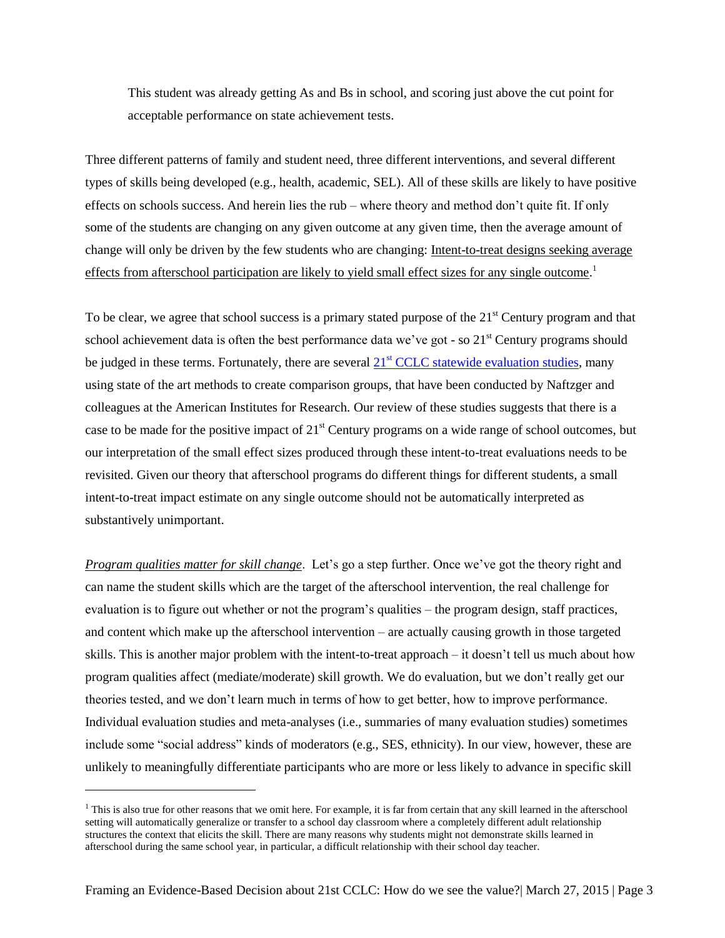This student was already getting As and Bs in school, and scoring just above the cut point for acceptable performance on state achievement tests.

Three different patterns of family and student need, three different interventions, and several different types of skills being developed (e.g., health, academic, SEL). All of these skills are likely to have positive effects on schools success. And herein lies the rub – where theory and method don't quite fit. If only some of the students are changing on any given outcome at any given time, then the average amount of change will only be driven by the few students who are changing: Intent-to-treat designs seeking average effects from afterschool participation are likely to yield small effect sizes for any single outcome.<sup>1</sup>

To be clear, we agree that school success is a primary stated purpose of the  $21<sup>st</sup>$  Century program and that school achievement data is often the best performance data we've got - so 21<sup>st</sup> Century programs should be judged in these terms. Fortunately, there are several  $21<sup>st</sup> CCLC$  statewide evaluation studies, many using state of the art methods to create comparison groups, that have been conducted by Naftzger and colleagues at the American Institutes for Research. Our review of these studies suggests that there is a case to be made for the positive impact of  $21<sup>st</sup>$  Century programs on a wide range of school outcomes, but our interpretation of the small effect sizes produced through these intent-to-treat evaluations needs to be revisited. Given our theory that afterschool programs do different things for different students, a small intent-to-treat impact estimate on any single outcome should not be automatically interpreted as substantively unimportant.

*Program qualities matter for skill change*. Let's go a step further. Once we've got the theory right and can name the student skills which are the target of the afterschool intervention, the real challenge for evaluation is to figure out whether or not the program's qualities – the program design, staff practices, and content which make up the afterschool intervention – are actually causing growth in those targeted skills. This is another major problem with the intent-to-treat approach – it doesn't tell us much about how program qualities affect (mediate/moderate) skill growth. We do evaluation, but we don't really get our theories tested, and we don't learn much in terms of how to get better, how to improve performance. Individual evaluation studies and meta-analyses (i.e., summaries of many evaluation studies) sometimes include some "social address" kinds of moderators (e.g., SES, ethnicity). In our view, however, these are unlikely to meaningfully differentiate participants who are more or less likely to advance in specific skill

l

 $<sup>1</sup>$  This is also true for other reasons that we omit here. For example, it is far from certain that any skill learned in the afterschool</sup> setting will automatically generalize or transfer to a school day classroom where a completely different adult relationship structures the context that elicits the skill. There are many reasons why students might not demonstrate skills learned in afterschool during the same school year, in particular, a difficult relationship with their school day teacher.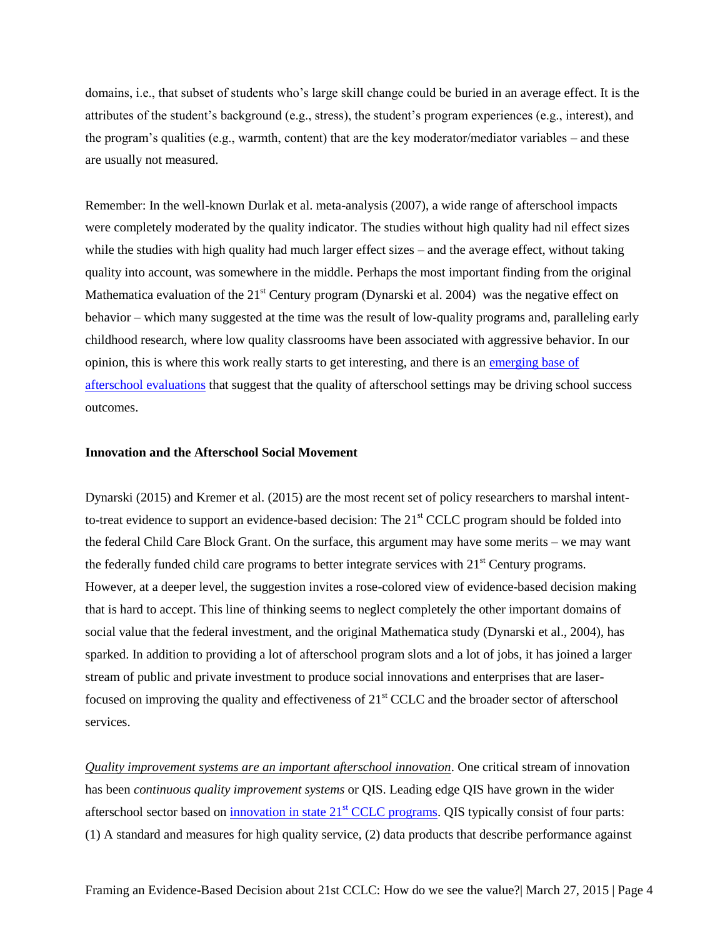domains, i.e., that subset of students who's large skill change could be buried in an average effect. It is the attributes of the student's background (e.g., stress), the student's program experiences (e.g., interest), and the program's qualities (e.g., warmth, content) that are the key moderator/mediator variables – and these are usually not measured.

Remember: In the well-known Durlak et al. meta-analysis (2007), a wide range of afterschool impacts were completely moderated by the quality indicator. The studies without high quality had nil effect sizes while the studies with high quality had much larger effect sizes – and the average effect, without taking quality into account, was somewhere in the middle. Perhaps the most important finding from the original Mathematica evaluation of the  $21<sup>st</sup>$  Century program (Dynarski et al. 2004) was the negative effect on behavior – which many suggested at the time was the result of low-quality programs and, paralleling early childhood research, where low quality classrooms have been associated with aggressive behavior. In our opinion, this is where this work really starts to get interesting, and there is an [emerging base of](http://cypq.org/content/does-quality-matter-afterschool-expanded-learning-and-youth-outcomes)  [afterschool evaluations](http://cypq.org/content/does-quality-matter-afterschool-expanded-learning-and-youth-outcomes) that suggest that the quality of afterschool settings may be driving school success outcomes.

#### **Innovation and the Afterschool Social Movement**

Dynarski (2015) and Kremer et al. (2015) are the most recent set of policy researchers to marshal intentto-treat evidence to support an evidence-based decision: The 21<sup>st</sup> CCLC program should be folded into the federal Child Care Block Grant. On the surface, this argument may have some merits – we may want the federally funded child care programs to better integrate services with 21<sup>st</sup> Century programs. However, at a deeper level, the suggestion invites a rose-colored view of evidence-based decision making that is hard to accept. This line of thinking seems to neglect completely the other important domains of social value that the federal investment, and the original Mathematica study (Dynarski et al., 2004), has sparked. In addition to providing a lot of afterschool program slots and a lot of jobs, it has joined a larger stream of public and private investment to produce social innovations and enterprises that are laserfocused on improving the quality and effectiveness of  $21<sup>st</sup>$  CCLC and the broader sector of afterschool services.

*Quality improvement systems are an important afterschool innovation*. One critical stream of innovation has been *continuous quality improvement systems* or QIS. Leading edge QIS have grown in the wider afterschool sector based on [innovation in state 21](http://forumfyi.org/content/building-quality-impro)<sup>st</sup> CCLC programs. QIS typically consist of four parts: (1) A standard and measures for high quality service, (2) data products that describe performance against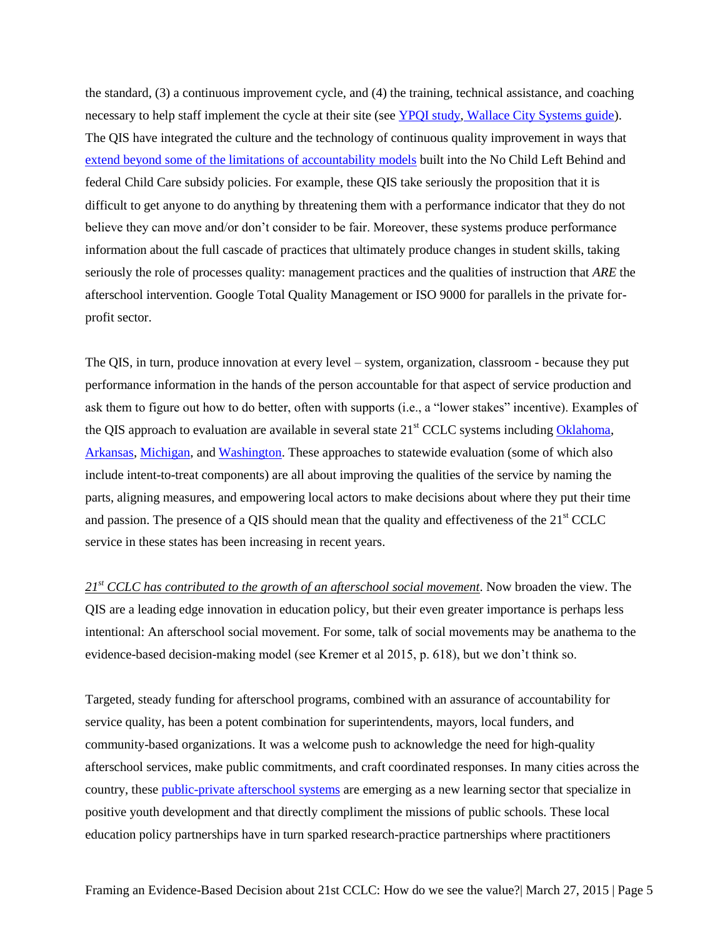the standard, (3) a continuous improvement cycle, and (4) the training, technical assistance, and coaching necessary to help staff implement the cycle at their site (see [YPQI study,](http://cypq.org/ypqi) [Wallace City Systems guide\)](http://www.wallacefoundation.org/knowledge-center/after-school/coordinating-after-school-resources/Pages/Building-Citywide-Systems-for-Quality-A-Guide-and-Case-Studies-for-Afterschool-Leaders.aspx). The QIS have integrated the culture and the technology of continuous quality improvement in ways that [extend beyond some of the limitations of accountability models](http://cypq.org/content/moving-needle-moving-needle) built into the No Child Left Behind and federal Child Care subsidy policies. For example, these QIS take seriously the proposition that it is difficult to get anyone to do anything by threatening them with a performance indicator that they do not believe they can move and/or don't consider to be fair. Moreover, these systems produce performance information about the full cascade of practices that ultimately produce changes in student skills, taking seriously the role of processes quality: management practices and the qualities of instruction that *ARE* the afterschool intervention. Google Total Quality Management or ISO 9000 for parallels in the private forprofit sector.

The QIS, in turn, produce innovation at every level – system, organization, classroom - because they put performance information in the hands of the person accountable for that aspect of service production and ask them to figure out how to do better, often with supports (i.e., a "lower stakes" incentive). Examples of the QIS approach to evaluation are available in several state 21<sup>st</sup> CCLC systems including [Oklahoma,](http://ok.gov/sde/21cclc) [Arkansas,](http://www.arkansased.org/divisions/learning-services/federal-programs/21st-century-community-learning-centers) [Michigan,](http://www.michigan.gov/mde/0,4615,7-140-6530_6809-39974--,00.html) an[d Washington.](http://www.k12.wa.us/21stCenturyLearning/) These approaches to statewide evaluation (some of which also include intent-to-treat components) are all about improving the qualities of the service by naming the parts, aligning measures, and empowering local actors to make decisions about where they put their time and passion. The presence of a QIS should mean that the quality and effectiveness of the  $21<sup>st</sup> CCLC$ service in these states has been increasing in recent years.

*21st CCLC has contributed to the growth of an afterschool social movement*. Now broaden the view. The QIS are a leading edge innovation in education policy, but their even greater importance is perhaps less intentional: An afterschool social movement. For some, talk of social movements may be anathema to the evidence-based decision-making model (see Kremer et al 2015, p. 618), but we don't think so.

Targeted, steady funding for afterschool programs, combined with an assurance of accountability for service quality, has been a potent combination for superintendents, mayors, local funders, and community-based organizations. It was a welcome push to acknowledge the need for high-quality afterschool services, make public commitments, and craft coordinated responses. In many cities across the country, these [public-private afterschool systems](http://www.wallacefoundation.org/knowledge-center/after-school/Pages/default.aspx) are emerging as a new learning sector that specialize in positive youth development and that directly compliment the missions of public schools. These local education policy partnerships have in turn sparked research-practice partnerships where practitioners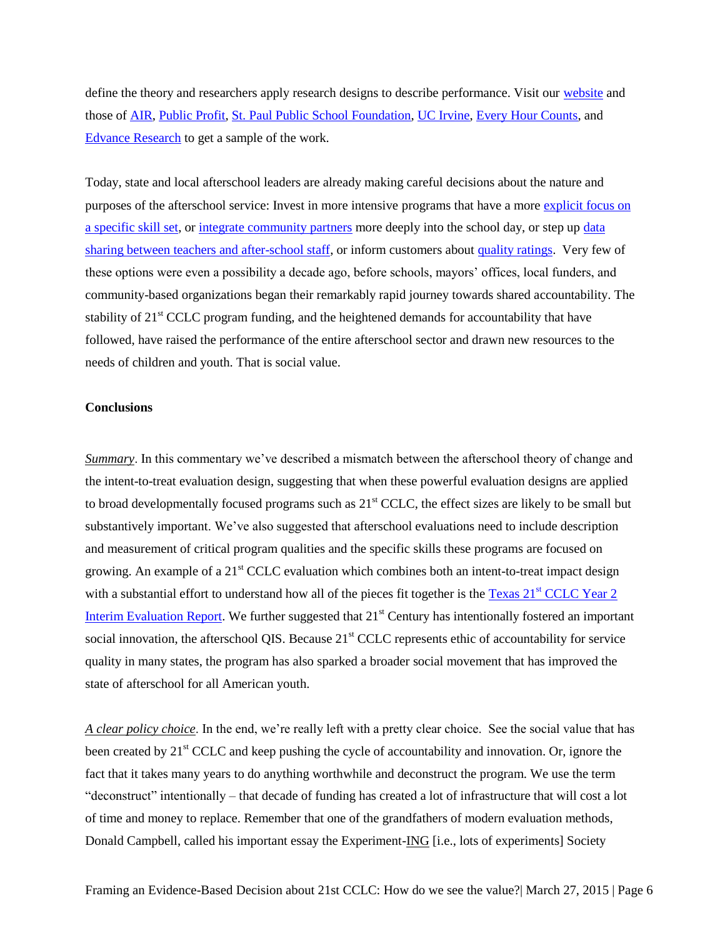define the theory and researchers apply research designs to describe performance. Visit our [website](http://cypq.org/) and those of [AIR,](http://www.air.org/) [Public Profit,](http://publicprofit.net/) [St. Paul Public School Foundation,](http://sppsfoundation.org/) [UC Irvine,](http://education.uci.edu/research/ca_doe_afterschool.php) [Every Hour Counts,](http://www.afterschoolsystems.org/) and [Edvance Research](http://www.edvanceresearch.com/) to get a sample of the work.

Today, state and local afterschool leaders are already making careful decisions about the nature and purposes of the afterschool service: Invest in more intensive programs that have a more [explicit focus on](http://ydekc.org/)  [a specific skill set,](http://ydekc.org/) or [integrate community partners](http://www.ousd.k12.ca.us/domain/79) more deeply into the school day, or step u[p data](http://www.nashville.gov/Mayors-Office/Priorities/Education/Programs-and-Initiatives/After-School-Programs.aspx)  [sharing between teachers and after-school staff,](http://www.nashville.gov/Mayors-Office/Priorities/Education/Programs-and-Initiatives/After-School-Programs.aspx) or inform customers about [quality ratings.](http://www.racf.org/DefaultPermissions/GreaterRochesterAfterSchoolAlliance/tabid/239/Default.aspx) Very few of these options were even a possibility a decade ago, before schools, mayors' offices, local funders, and community-based organizations began their remarkably rapid journey towards shared accountability. The stability of  $21<sup>st</sup>$  CCLC program funding, and the heightened demands for accountability that have followed, have raised the performance of the entire afterschool sector and drawn new resources to the needs of children and youth. That is social value.

### **Conclusions**

*Summary*. In this commentary we've described a mismatch between the afterschool theory of change and the intent-to-treat evaluation design, suggesting that when these powerful evaluation designs are applied to broad developmentally focused programs such as  $21<sup>st</sup>$  CCLC, the effect sizes are likely to be small but substantively important. We've also suggested that afterschool evaluations need to include description and measurement of critical program qualities and the specific skills these programs are focused on growing. An example of a  $21<sup>st</sup>$  CCLC evaluation which combines both an intent-to-treat impact design with a substantial effort to understand how all of the pieces fit together is the Texas  $21<sup>st</sup>$  CCLC Year 2 [Interim Evaluation Report.](http://tea.texas.gov/Reports_and_Data/Program_Evaluations/Out-of-School_Learning_Opportunities/Program_Evaluation__Out-of-School_Learning_Opportunities/) We further suggested that  $21<sup>st</sup>$  Century has intentionally fostered an important social innovation, the afterschool QIS. Because 21<sup>st</sup> CCLC represents ethic of accountability for service quality in many states, the program has also sparked a broader social movement that has improved the state of afterschool for all American youth.

*A clear policy choice*. In the end, we're really left with a pretty clear choice. See the social value that has been created by 21<sup>st</sup> CCLC and keep pushing the cycle of accountability and innovation. Or, ignore the fact that it takes many years to do anything worthwhile and deconstruct the program. We use the term "deconstruct" intentionally – that decade of funding has created a lot of infrastructure that will cost a lot of time and money to replace. Remember that one of the grandfathers of modern evaluation methods, Donald Campbell, called his important essay the Experiment-ING [i.e., lots of experiments] Society